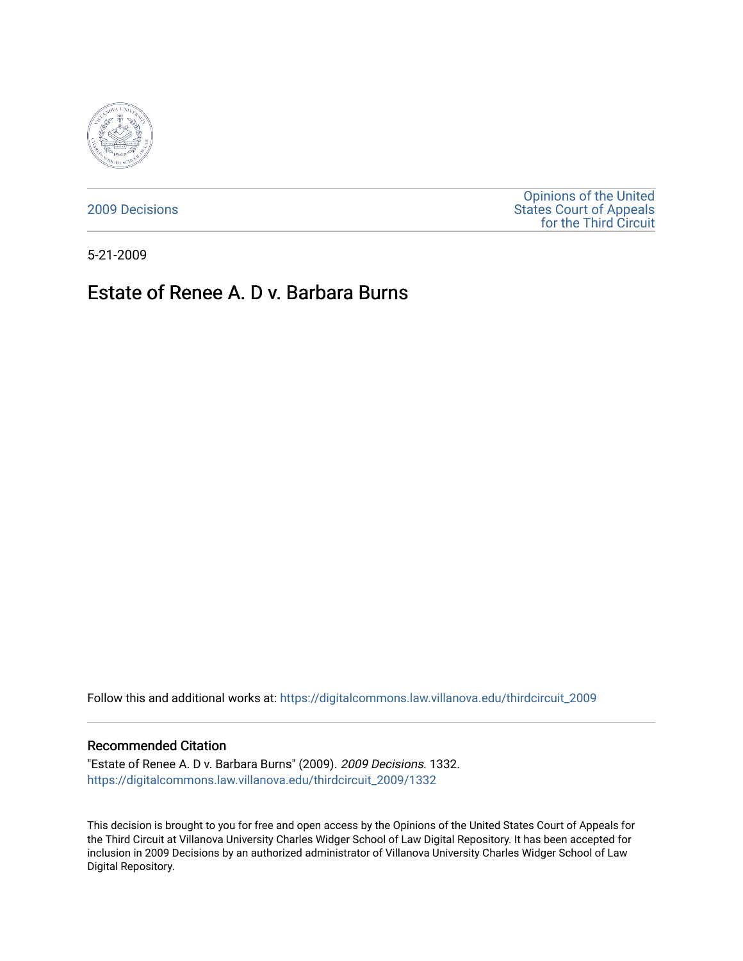

[2009 Decisions](https://digitalcommons.law.villanova.edu/thirdcircuit_2009)

[Opinions of the United](https://digitalcommons.law.villanova.edu/thirdcircuit)  [States Court of Appeals](https://digitalcommons.law.villanova.edu/thirdcircuit)  [for the Third Circuit](https://digitalcommons.law.villanova.edu/thirdcircuit) 

5-21-2009

# Estate of Renee A. D v. Barbara Burns

Follow this and additional works at: [https://digitalcommons.law.villanova.edu/thirdcircuit\\_2009](https://digitalcommons.law.villanova.edu/thirdcircuit_2009?utm_source=digitalcommons.law.villanova.edu%2Fthirdcircuit_2009%2F1332&utm_medium=PDF&utm_campaign=PDFCoverPages) 

#### Recommended Citation

"Estate of Renee A. D v. Barbara Burns" (2009). 2009 Decisions. 1332. [https://digitalcommons.law.villanova.edu/thirdcircuit\\_2009/1332](https://digitalcommons.law.villanova.edu/thirdcircuit_2009/1332?utm_source=digitalcommons.law.villanova.edu%2Fthirdcircuit_2009%2F1332&utm_medium=PDF&utm_campaign=PDFCoverPages) 

This decision is brought to you for free and open access by the Opinions of the United States Court of Appeals for the Third Circuit at Villanova University Charles Widger School of Law Digital Repository. It has been accepted for inclusion in 2009 Decisions by an authorized administrator of Villanova University Charles Widger School of Law Digital Repository.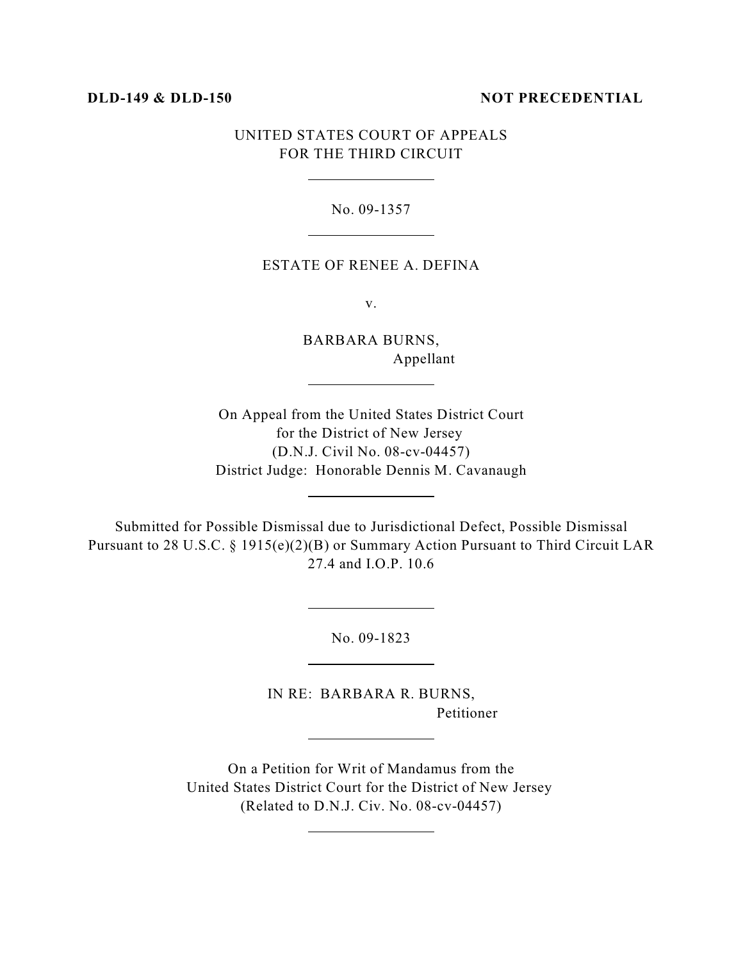#### **DLD-149 & DLD-150 NOT PRECEDENTIAL**

## UNITED STATES COURT OF APPEALS FOR THE THIRD CIRCUIT

 $\overline{a}$ 

 $\overline{a}$ 

 $\overline{a}$ 

 $\overline{a}$ 

 $\overline{a}$ 

 $\overline{a}$ 

 $\overline{a}$ 

 $\overline{a}$ 

#### No. 09-1357

#### ESTATE OF RENEE A. DEFINA

v.

BARBARA BURNS, Appellant

On Appeal from the United States District Court for the District of New Jersey (D.N.J. Civil No. 08-cv-04457) District Judge: Honorable Dennis M. Cavanaugh

Submitted for Possible Dismissal due to Jurisdictional Defect, Possible Dismissal Pursuant to 28 U.S.C. § 1915(e)(2)(B) or Summary Action Pursuant to Third Circuit LAR 27.4 and I.O.P. 10.6

No. 09-1823

IN RE: BARBARA R. BURNS, Petitioner

On a Petition for Writ of Mandamus from the United States District Court for the District of New Jersey (Related to D.N.J. Civ. No. 08-cv-04457)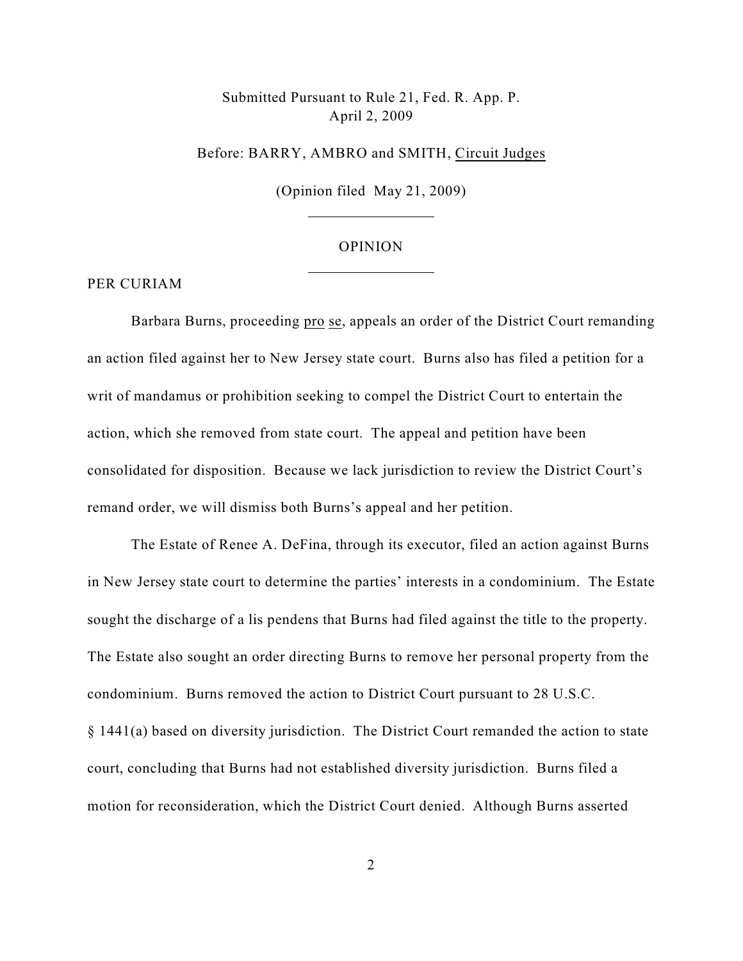# Submitted Pursuant to Rule 21, Fed. R. App. P. April 2, 2009

#### Before: BARRY, AMBRO and SMITH, Circuit Judges

(Opinion filed May 21, 2009)

 $\overline{a}$ 

 $\overline{a}$ 

#### OPINION

### PER CURIAM

Barbara Burns, proceeding pro se, appeals an order of the District Court remanding an action filed against her to New Jersey state court. Burns also has filed a petition for a writ of mandamus or prohibition seeking to compel the District Court to entertain the action, which she removed from state court. The appeal and petition have been consolidated for disposition. Because we lack jurisdiction to review the District Court's remand order, we will dismiss both Burns's appeal and her petition.

The Estate of Renee A. DeFina, through its executor, filed an action against Burns in New Jersey state court to determine the parties' interests in a condominium. The Estate sought the discharge of a lis pendens that Burns had filed against the title to the property. The Estate also sought an order directing Burns to remove her personal property from the condominium. Burns removed the action to District Court pursuant to 28 U.S.C. § 1441(a) based on diversity jurisdiction. The District Court remanded the action to state court, concluding that Burns had not established diversity jurisdiction. Burns filed a motion for reconsideration, which the District Court denied. Although Burns asserted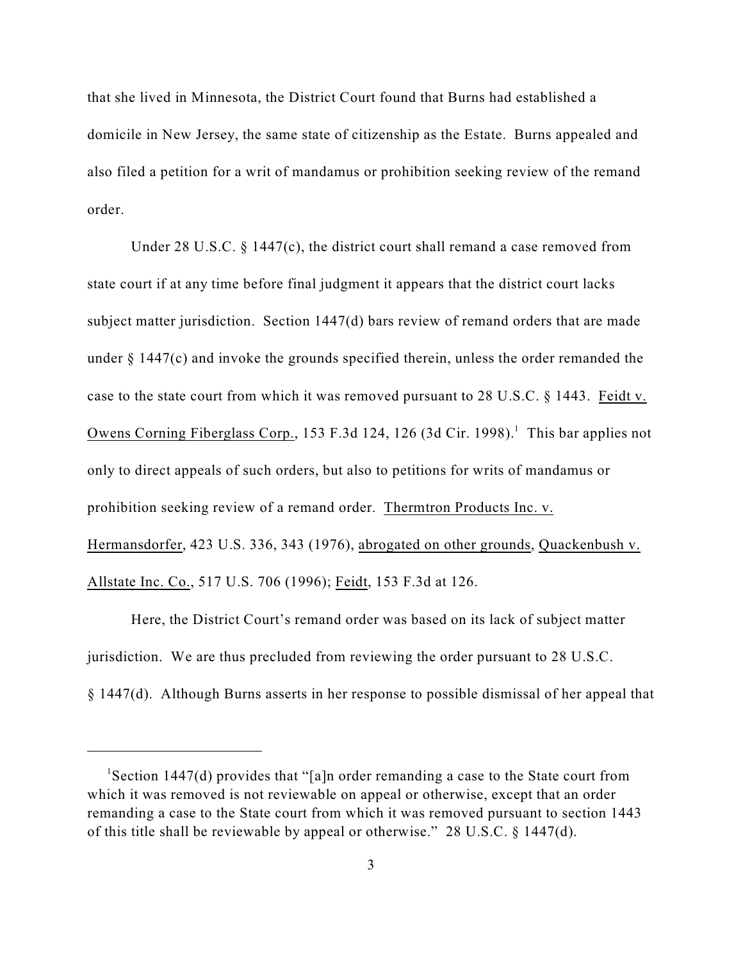that she lived in Minnesota, the District Court found that Burns had established a domicile in New Jersey, the same state of citizenship as the Estate. Burns appealed and also filed a petition for a writ of mandamus or prohibition seeking review of the remand order.

Under 28 U.S.C. § 1447(c), the district court shall remand a case removed from state court if at any time before final judgment it appears that the district court lacks subject matter jurisdiction. Section 1447(d) bars review of remand orders that are made under § 1447(c) and invoke the grounds specified therein, unless the order remanded the case to the state court from which it was removed pursuant to 28 U.S.C. § 1443. Feidt v. Owens Corning Fiberglass Corp., 153 F.3d 124, 126 (3d Cir. 1998).<sup>1</sup> This bar applies not only to direct appeals of such orders, but also to petitions for writs of mandamus or prohibition seeking review of a remand order. Thermtron Products Inc. v. Hermansdorfer, 423 U.S. 336, 343 (1976), abrogated on other grounds, Quackenbush v. Allstate Inc. Co., 517 U.S. 706 (1996); Feidt, 153 F.3d at 126.

Here, the District Court's remand order was based on its lack of subject matter jurisdiction. We are thus precluded from reviewing the order pursuant to 28 U.S.C. § 1447(d). Although Burns asserts in her response to possible dismissal of her appeal that

<sup>&</sup>lt;sup>1</sup> Section 1447(d) provides that "[a]n order remanding a case to the State court from which it was removed is not reviewable on appeal or otherwise, except that an order remanding a case to the State court from which it was removed pursuant to section 1443 of this title shall be reviewable by appeal or otherwise." 28 U.S.C. § 1447(d).